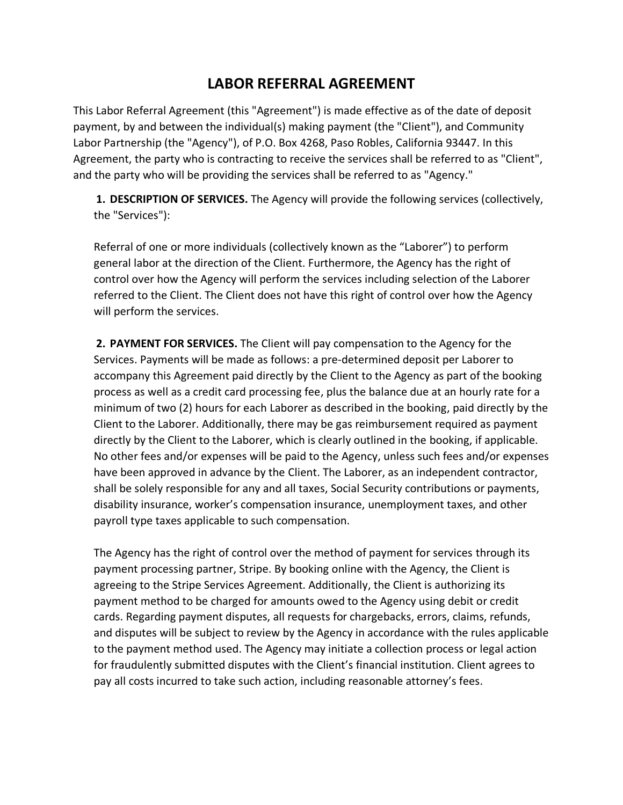## **LABOR REFERRAL AGREEMENT**

This Labor Referral Agreement (this "Agreement") is made effective as of the date of deposit payment, by and between the individual(s) making payment (the "Client"), and Community Labor Partnership (the "Agency"), of P.O. Box 4268, Paso Robles, California 93447. In this Agreement, the party who is contracting to receive the services shall be referred to as "Client", and the party who will be providing the services shall be referred to as "Agency."

**1. DESCRIPTION OF SERVICES.** The Agency will provide the following services (collectively, the "Services"):

Referral of one or more individuals (collectively known as the "Laborer") to perform general labor at the direction of the Client. Furthermore, the Agency has the right of control over how the Agency will perform the services including selection of the Laborer referred to the Client. The Client does not have this right of control over how the Agency will perform the services.

**2. PAYMENT FOR SERVICES.** The Client will pay compensation to the Agency for the Services. Payments will be made as follows: a pre-determined deposit per Laborer to accompany this Agreement paid directly by the Client to the Agency as part of the booking process as well as a credit card processing fee, plus the balance due at an hourly rate for a minimum of two (2) hours for each Laborer as described in the booking, paid directly by the Client to the Laborer. Additionally, there may be gas reimbursement required as payment directly by the Client to the Laborer, which is clearly outlined in the booking, if applicable. No other fees and/or expenses will be paid to the Agency, unless such fees and/or expenses have been approved in advance by the Client. The Laborer, as an independent contractor, shall be solely responsible for any and all taxes, Social Security contributions or payments, disability insurance, worker's compensation insurance, unemployment taxes, and other payroll type taxes applicable to such compensation.

The Agency has the right of control over the method of payment for services through its payment processing partner, Stripe. By booking online with the Agency, the Client is agreeing to the Stripe Services Agreement. Additionally, the Client is authorizing its payment method to be charged for amounts owed to the Agency using debit or credit cards. Regarding payment disputes, all requests for chargebacks, errors, claims, refunds, and disputes will be subject to review by the Agency in accordance with the rules applicable to the payment method used. The Agency may initiate a collection process or legal action for fraudulently submitted disputes with the Client's financial institution. Client agrees to pay all costs incurred to take such action, including reasonable attorney's fees.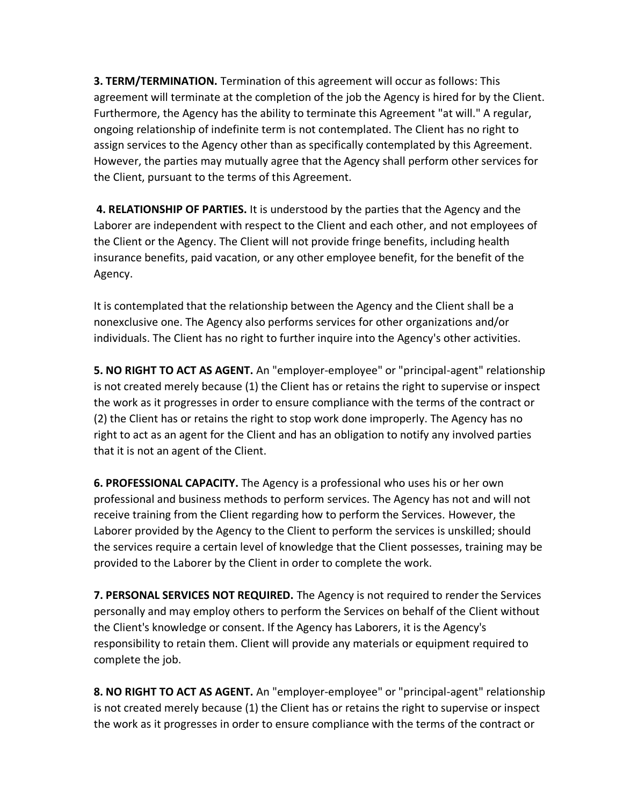**3. TERM/TERMINATION.** Termination of this agreement will occur as follows: This agreement will terminate at the completion of the job the Agency is hired for by the Client. Furthermore, the Agency has the ability to terminate this Agreement "at will." A regular, ongoing relationship of indefinite term is not contemplated. The Client has no right to assign services to the Agency other than as specifically contemplated by this Agreement. However, the parties may mutually agree that the Agency shall perform other services for the Client, pursuant to the terms of this Agreement.

**4. RELATIONSHIP OF PARTIES.** It is understood by the parties that the Agency and the Laborer are independent with respect to the Client and each other, and not employees of the Client or the Agency. The Client will not provide fringe benefits, including health insurance benefits, paid vacation, or any other employee benefit, for the benefit of the Agency.

It is contemplated that the relationship between the Agency and the Client shall be a nonexclusive one. The Agency also performs services for other organizations and/or individuals. The Client has no right to further inquire into the Agency's other activities.

**5. NO RIGHT TO ACT AS AGENT.** An "employer-employee" or "principal-agent" relationship is not created merely because (1) the Client has or retains the right to supervise or inspect the work as it progresses in order to ensure compliance with the terms of the contract or (2) the Client has or retains the right to stop work done improperly. The Agency has no right to act as an agent for the Client and has an obligation to notify any involved parties that it is not an agent of the Client.

**6. PROFESSIONAL CAPACITY.** The Agency is a professional who uses his or her own professional and business methods to perform services. The Agency has not and will not receive training from the Client regarding how to perform the Services. However, the Laborer provided by the Agency to the Client to perform the services is unskilled; should the services require a certain level of knowledge that the Client possesses, training may be provided to the Laborer by the Client in order to complete the work.

**7. PERSONAL SERVICES NOT REQUIRED.** The Agency is not required to render the Services personally and may employ others to perform the Services on behalf of the Client without the Client's knowledge or consent. If the Agency has Laborers, it is the Agency's responsibility to retain them. Client will provide any materials or equipment required to complete the job.

**8. NO RIGHT TO ACT AS AGENT.** An "employer-employee" or "principal-agent" relationship is not created merely because (1) the Client has or retains the right to supervise or inspect the work as it progresses in order to ensure compliance with the terms of the contract or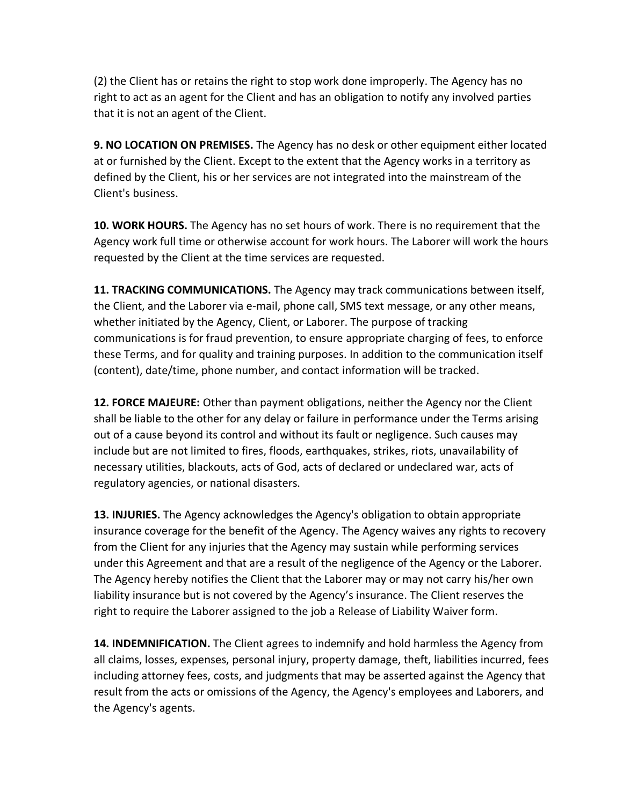(2) the Client has or retains the right to stop work done improperly. The Agency has no right to act as an agent for the Client and has an obligation to notify any involved parties that it is not an agent of the Client.

**9. NO LOCATION ON PREMISES.** The Agency has no desk or other equipment either located at or furnished by the Client. Except to the extent that the Agency works in a territory as defined by the Client, his or her services are not integrated into the mainstream of the Client's business.

**10. WORK HOURS.** The Agency has no set hours of work. There is no requirement that the Agency work full time or otherwise account for work hours. The Laborer will work the hours requested by the Client at the time services are requested.

**11. TRACKING COMMUNICATIONS.** The Agency may track communications between itself, the Client, and the Laborer via e-mail, phone call, SMS text message, or any other means, whether initiated by the Agency, Client, or Laborer. The purpose of tracking communications is for fraud prevention, to ensure appropriate charging of fees, to enforce these Terms, and for quality and training purposes. In addition to the communication itself (content), date/time, phone number, and contact information will be tracked.

**12. FORCE MAJEURE:** Other than payment obligations, neither the Agency nor the Client shall be liable to the other for any delay or failure in performance under the Terms arising out of a cause beyond its control and without its fault or negligence. Such causes may include but are not limited to fires, floods, earthquakes, strikes, riots, unavailability of necessary utilities, blackouts, acts of God, acts of declared or undeclared war, acts of regulatory agencies, or national disasters.

**13. INJURIES.** The Agency acknowledges the Agency's obligation to obtain appropriate insurance coverage for the benefit of the Agency. The Agency waives any rights to recovery from the Client for any injuries that the Agency may sustain while performing services under this Agreement and that are a result of the negligence of the Agency or the Laborer. The Agency hereby notifies the Client that the Laborer may or may not carry his/her own liability insurance but is not covered by the Agency's insurance. The Client reserves the right to require the Laborer assigned to the job a Release of Liability Waiver form.

**14. INDEMNIFICATION.** The Client agrees to indemnify and hold harmless the Agency from all claims, losses, expenses, personal injury, property damage, theft, liabilities incurred, fees including attorney fees, costs, and judgments that may be asserted against the Agency that result from the acts or omissions of the Agency, the Agency's employees and Laborers, and the Agency's agents.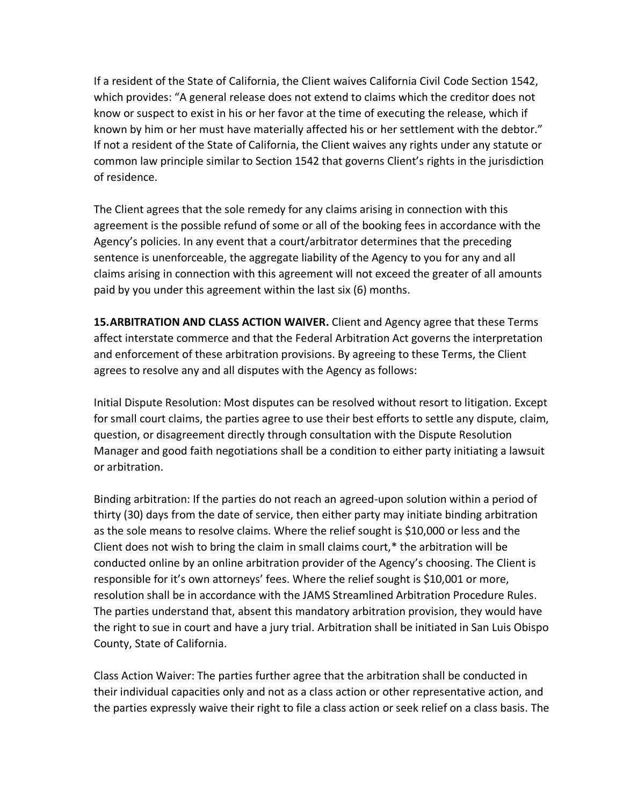If a resident of the State of California, the Client waives California Civil Code Section 1542, which provides: "A general release does not extend to claims which the creditor does not know or suspect to exist in his or her favor at the time of executing the release, which if known by him or her must have materially affected his or her settlement with the debtor." If not a resident of the State of California, the Client waives any rights under any statute or common law principle similar to Section 1542 that governs Client's rights in the jurisdiction of residence.

The Client agrees that the sole remedy for any claims arising in connection with this agreement is the possible refund of some or all of the booking fees in accordance with the Agency's policies. In any event that a court/arbitrator determines that the preceding sentence is unenforceable, the aggregate liability of the Agency to you for any and all claims arising in connection with this agreement will not exceed the greater of all amounts paid by you under this agreement within the last six (6) months.

**15.ARBITRATION AND CLASS ACTION WAIVER.** Client and Agency agree that these Terms affect interstate commerce and that the Federal Arbitration Act governs the interpretation and enforcement of these arbitration provisions. By agreeing to these Terms, the Client agrees to resolve any and all disputes with the Agency as follows:

Initial Dispute Resolution: Most disputes can be resolved without resort to litigation. Except for small court claims, the parties agree to use their best efforts to settle any dispute, claim, question, or disagreement directly through consultation with the Dispute Resolution Manager and good faith negotiations shall be a condition to either party initiating a lawsuit or arbitration.

Binding arbitration: If the parties do not reach an agreed-upon solution within a period of thirty (30) days from the date of service, then either party may initiate binding arbitration as the sole means to resolve claims. Where the relief sought is \$10,000 or less and the Client does not wish to bring the claim in small claims court,\* the arbitration will be conducted online by an online arbitration provider of the Agency's choosing. The Client is responsible for it's own attorneys' fees. Where the relief sought is \$10,001 or more, resolution shall be in accordance with the JAMS Streamlined Arbitration Procedure Rules. The parties understand that, absent this mandatory arbitration provision, they would have the right to sue in court and have a jury trial. Arbitration shall be initiated in San Luis Obispo County, State of California.

Class Action Waiver: The parties further agree that the arbitration shall be conducted in their individual capacities only and not as a class action or other representative action, and the parties expressly waive their right to file a class action or seek relief on a class basis. The